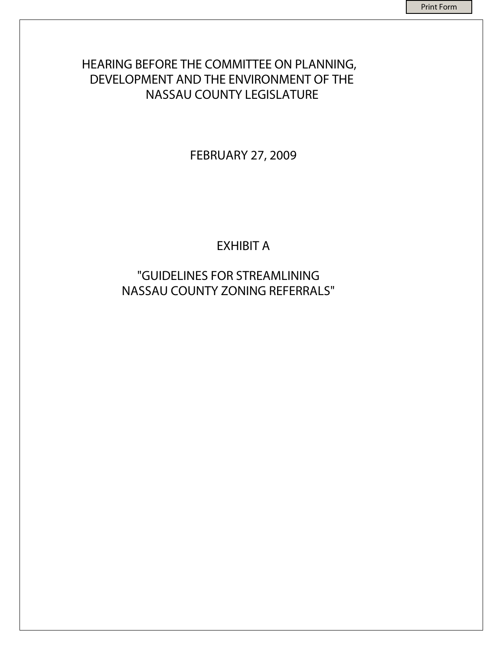# HEARING BEFORE THE COMMITTEE ON PLANNING, DEVELOPMENT AND THE ENVIRONMENT OF THE NASSAU COUNTY LEGISLATURE

FEBRUARY 27, 2009

EXHIBIT A

"GUIDELINES FOR STREAMLINING NASSAU COUNTY ZONING REFERRALS"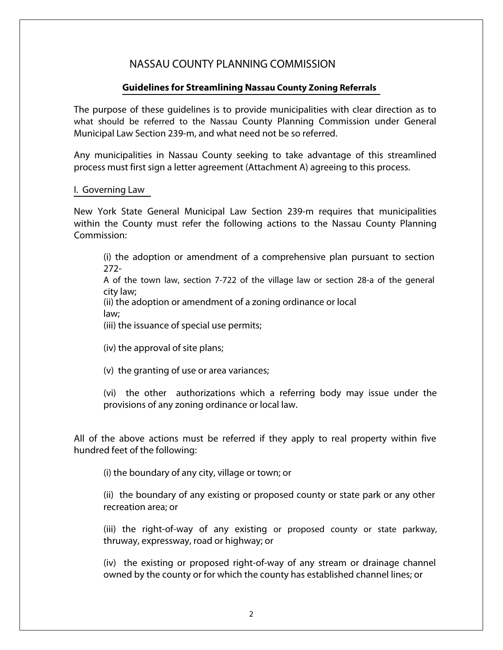### NASSAU COUNTY PLANNING COMMISSION

#### **Guidelines for Streamlining Nassau County Zoning Referrals**

The purpose of these guidelines is to provide municipalities with clear direction as to what should be referred to the Nassau County Planning Commission under General Municipal Law Section 239-m, and what need not be so referred.

Any municipalities in Nassau County seeking to take advantage of this streamlined process must first sign a letter agreement (Attachment A) agreeing to this process.

#### I. Governing Law

New York State General Municipal Law Section 239-m requires that municipalities within the County must refer the following actions to the Nassau County Planning Commission:

(i) the adoption or amendment of a comprehensive plan pursuant to section 272-

A of the town law, section 7-722 of the village law or section 28-a of the general city law;

(ii) the adoption or amendment of a zoning ordinance or local law;

(iii) the issuance of special use permits;

(iv) the approval of site plans;

(v) the granting of use or area variances;

(vi) the other authorizations which a referring body may issue under the provisions of any zoning ordinance or local law.

All of the above actions must be referred if they apply to real property within five hundred feet of the following:

(i) the boundary of any city, village or town; or

(ii) the boundary of any existing or proposed county or state park or any other recreation area; or

(iii) the right-of-way of any existing or proposed county or state parkway, thruway, expressway, road or highway; or

(iv) the existing or proposed right-of-way of any stream or drainage channel owned by the county or for which the county has established channel lines; or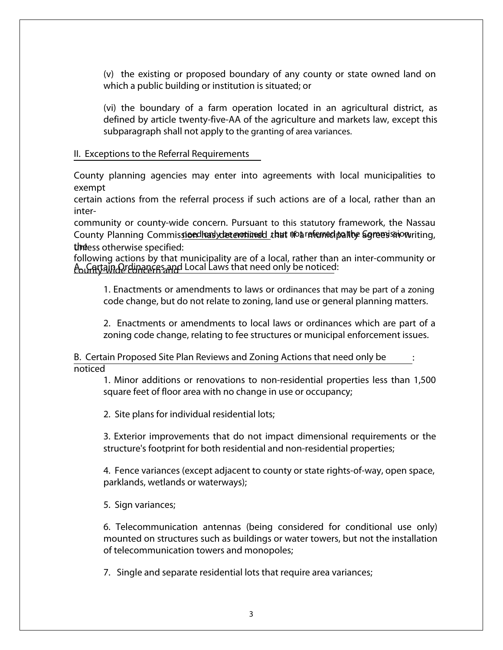(v) the existing or proposed boundary of any county or state owned land on which a public building or institution is situated; or

(vi) the boundary of a farm operation located in an agricultural district, as defined by article twenty-five-AA of the agriculture and markets law, except this subparagraph shall not apply to the granting of area variances.

#### II. Exceptions to the Referral Requirements

County planning agencies may enter into agreements with local municipalities to exempt

certain actions from the referral process if such actions are of a local, rather than an inter-

community or county-wide concern. Pursuant to this statutory framework, the Nassau County Planning Commis<u>si**oedhari**ydætemotimed t</u>hat moarenhed palling agrees smowriting, theess otherwise specified:

following actions by that municipality are of a local, rather than an inter-community or <u>Aာပ်များ ဖွံ့ကြော ထုတ်ကြသော</u> Cocal Laws that need only be noticed:

1. Enactments or amendments to laws or ordinances that may be part of a zoning code change, but do not relate to zoning, land use or general planning matters.

2. Enactments or amendments to local laws or ordinances which are part of a zoning code change, relating to fee structures or municipal enforcement issues.

B. Certain Proposed Site Plan Reviews and Zoning Actions that need only be noticed :

1. Minor additions or renovations to non-residential properties less than 1,500 square feet of floor area with no change in use or occupancy;

2. Site plans for individual residential lots;

3. Exterior improvements that do not impact dimensional requirements or the structure's footprint for both residential and non-residential properties;

4. Fence variances (except adjacent to county or state rights-of-way, open space, parklands, wetlands or waterways);

5. Sign variances;

6. Telecommunication antennas (being considered for conditional use only) mounted on structures such as buildings or water towers, but not the installation of telecommunication towers and monopoles;

7. Single and separate residential lots that require area variances;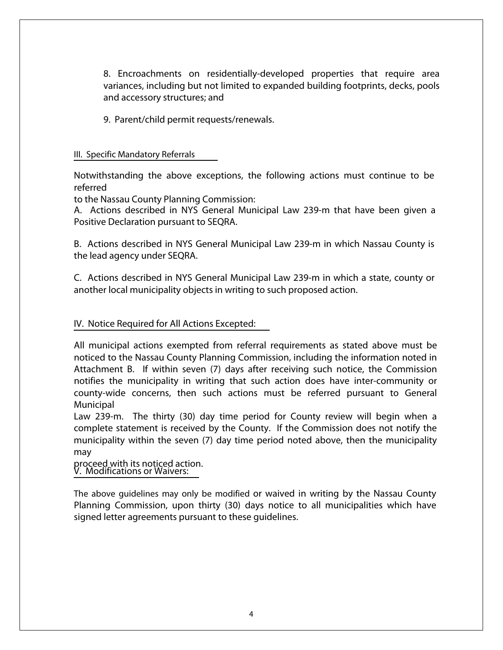8. Encroachments on residentially-developed properties that require area variances, including but not limited to expanded building footprints, decks, pools and accessory structures; and

9. Parent/child permit requests/renewals.

#### III. Specific Mandatory Referrals

Notwithstanding the above exceptions, the following actions must continue to be referred

to the Nassau County Planning Commission:

A. Actions described in NYS General Municipal Law 239-m that have been given a Positive Declaration pursuant to SEQRA.

B. Actions described in NYS General Municipal Law 239-m in which Nassau County is the lead agency under SEQRA.

C. Actions described in NYS General Municipal Law 239-m in which a state, county or another local municipality objects in writing to such proposed action.

### IV. Notice Required for All Actions Excepted:

All municipal actions exempted from referral requirements as stated above must be noticed to the Nassau County Planning Commission, including the information noted in Attachment B. If within seven (7) days after receiving such notice, the Commission notifies the municipality in writing that such action does have inter-community or county-wide concerns, then such actions must be referred pursuant to General Municipal

Law 239-m. The thirty (30) day time period for County review will begin when a complete statement is received by the County. If the Commission does not notify the municipality within the seven (7) day time period noted above, then the municipality may

#### proceed with its noticed action. V. Modifications or Waivers:

The above guidelines may only be modified or waived in writing by the Nassau County Planning Commission, upon thirty (30) days notice to all municipalities which have signed letter agreements pursuant to these guidelines.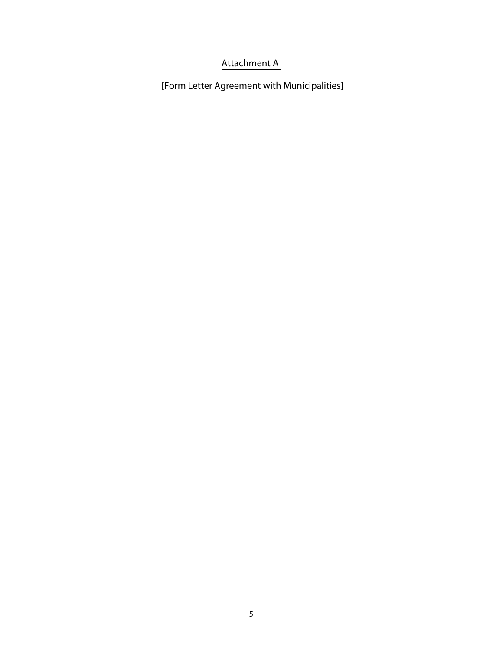# Attachment A

[Form Letter Agreement with Municipalities]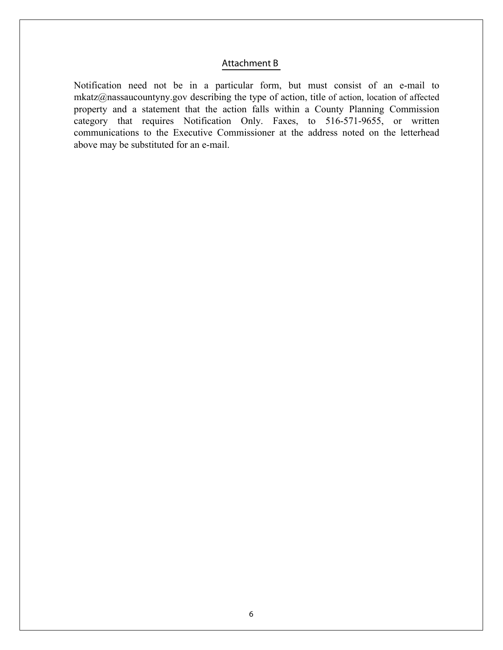#### Attachment B

Notification need not be in a particular form, but must consist of an e-mail to mkatz@nassaucountyny.gov describing the type of action, title of action, location of affected property and a statement that the action falls within a County Planning Commission category that requires Notification Only. Faxes, to 516-571-9655, or written communications to the Executive Commissioner at the address noted on the letterhead above may be substituted for an e-mail.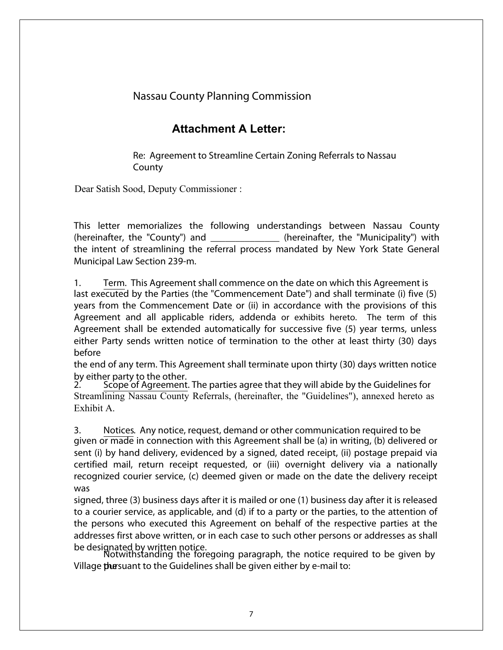## Nassau County Planning Commission

## **Attachment A Letter:**

Re: Agreement to Streamline Certain Zoning Referrals to Nassau County

Dear Satish Sood, Deputy Commissioner :

This letter memorializes the following understandings between Nassau County (hereinafter, the "County") and  $\qquad \qquad$  (hereinafter, the "Municipality") with the intent of streamlining the referral process mandated by New York State General Municipal Law Section 239-m.

1. Term. This Agreement shall commence on the date on which this Agreement is last executed by the Parties (the "Commencement Date") and shall terminate (i) five (5) years from the Commencement Date or (ii) in accordance with the provisions of this Agreement and all applicable riders, addenda or exhibits hereto. The term of this Agreement shall be extended automatically for successive five (5) year terms, unless either Party sends written notice of termination to the other at least thirty (30) days before

the end of any term. This Agreement shall terminate upon thirty (30) days written notice by either party to the other.<br>2. Scope of Agreement.

2. Scope of Agreement. The parties agree that they will abide by the Guidelines for Streamlining Nassau County Referrals, (hereinafter, the "Guidelines"), annexed hereto as Exhibit A.

3. Notices. Any notice, request, demand or other communication required to be given or made in connection with this Agreement shall be (a) in writing, (b) delivered or sent (i) by hand delivery, evidenced by a signed, dated receipt, (ii) postage prepaid via certified mail, return receipt requested, or (iii) overnight delivery via a nationally recognized courier service, (c) deemed given or made on the date the delivery receipt was

signed, three (3) business days after it is mailed or one (1) business day after it is released to a courier service, as applicable, and (d) if to a party or the parties, to the attention of the persons who executed this Agreement on behalf of the respective parties at the addresses first above written, or in each case to such other persons or addresses as shall be designated by written notice.

Notwithstanding the foregoing paragraph, the notice required to be given by Village **the** suant to the Guidelines shall be given either by e-mail to: